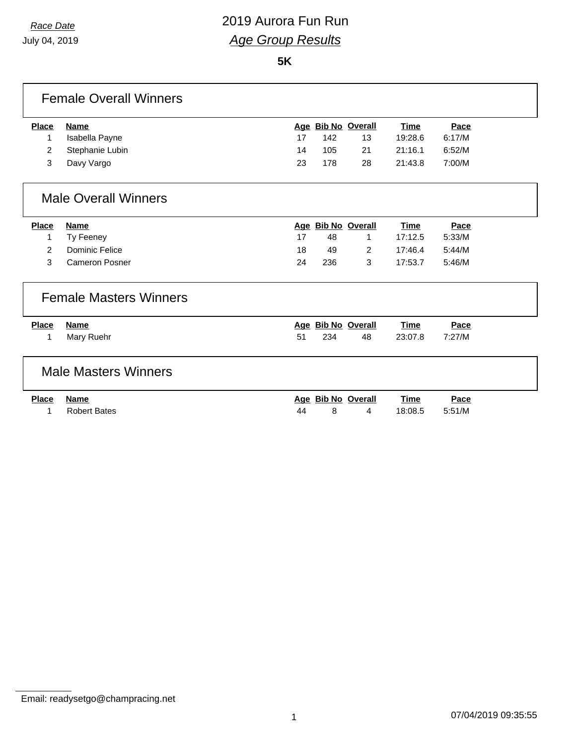July 04, 2019

# *Race Date* 2019 Aurora Fun Run *Age Group Results*

**5K**

|              | <b>Female Overall Winners</b> |    |     |                    |             |        |  |
|--------------|-------------------------------|----|-----|--------------------|-------------|--------|--|
| <b>Place</b> | <b>Name</b>                   |    |     | Age Bib No Overall | <b>Time</b> | Pace   |  |
| 1            | Isabella Payne                | 17 | 142 | 13                 | 19:28.6     | 6:17/M |  |
| 2            | Stephanie Lubin               | 14 | 105 | 21                 | 21:16.1     | 6:52/M |  |
| 3            | Davy Vargo                    | 23 | 178 | 28                 | 21:43.8     | 7:00/M |  |
|              | <b>Male Overall Winners</b>   |    |     |                    |             |        |  |
| <b>Place</b> | <b>Name</b>                   |    |     | Age Bib No Overall | <b>Time</b> | Pace   |  |
| 1            | Ty Feeney                     | 17 | 48  | 1                  | 17:12.5     | 5:33/M |  |
| 2            | Dominic Felice                | 18 | 49  | 2                  | 17:46.4     | 5:44/M |  |
| 3            | <b>Cameron Posner</b>         | 24 | 236 | 3                  | 17:53.7     | 5:46/M |  |
|              | <b>Female Masters Winners</b> |    |     |                    |             |        |  |
| <b>Place</b> | <b>Name</b>                   |    |     | Age Bib No Overall | <b>Time</b> | Pace   |  |
| 1            | Mary Ruehr                    | 51 | 234 | 48                 | 23:07.8     | 7:27/M |  |
|              | <b>Male Masters Winners</b>   |    |     |                    |             |        |  |
| <b>Place</b> | <b>Name</b>                   |    |     | Age Bib No Overall | <b>Time</b> | Pace   |  |
| 1            | <b>Robert Bates</b>           | 44 | 8   | 4                  | 18:08.5     | 5:51/M |  |

Email: readysetgo@champracing.net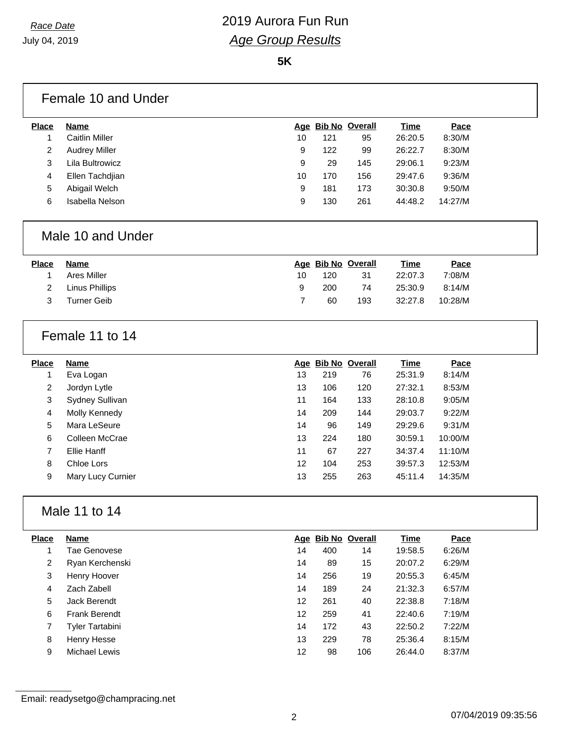**5K**

|                   | Female 10 and Under   |    |     |                    |             |         |  |
|-------------------|-----------------------|----|-----|--------------------|-------------|---------|--|
| <b>Place</b>      | <b>Name</b>           |    |     | Age Bib No Overall | <b>Time</b> | Pace    |  |
| $\mathbf{1}$      | <b>Caitlin Miller</b> | 10 | 121 | 95                 | 26:20.5     | 8:30/M  |  |
| $\overline{c}$    | <b>Audrey Miller</b>  | 9  | 122 | 99                 | 26:22.7     | 8:30/M  |  |
| $\mathbf{3}$      | Lila Bultrowicz       | 9  | 29  | 145                | 29:06.1     | 9:23/M  |  |
| $\overline{4}$    | Ellen Tachdjian       | 10 | 170 | 156                | 29:47.6     | 9:36/M  |  |
| 5                 | Abigail Welch         | 9  | 181 | 173                | 30:30.8     | 9:50/M  |  |
| 6                 | Isabella Nelson       | 9  | 130 | 261                | 44:48.2     | 14:27/M |  |
| Male 10 and Under |                       |    |     |                    |             |         |  |
| <b>Place</b>      | <b>Name</b>           |    |     | Age Bib No Overall | Time        | Pace    |  |
| $\mathbf{1}$      | <b>Ares Miller</b>    | 10 | 120 | 31                 | 22:07.3     | 7:08/M  |  |
| $\overline{c}$    | <b>Linus Phillips</b> | 9  | 200 | 74                 | 25:30.9     | 8:14/M  |  |
| 3                 | <b>Turner Geib</b>    | 7  | 60  | 193                | 32:27.8     | 10:28/M |  |
|                   | Female 11 to 14       |    |     |                    |             |         |  |
| <b>Place</b>      | <b>Name</b>           |    |     | Age Bib No Overall | <b>Time</b> | Pace    |  |
| $\mathbf{1}$      | Eva Logan             | 13 | 219 | 76                 | 25:31.9     | 8:14/M  |  |
| $\overline{2}$    | Jordyn Lytle          | 13 | 106 | 120                | 27:32.1     | 8:53/M  |  |
| 3                 | Sydney Sullivan       | 11 | 164 | 133                | 28:10.8     | 9:05/M  |  |
| $\overline{4}$    | Molly Kennedy         | 14 | 209 | 144                | 29:03.7     | 9:22/M  |  |
| 5                 | Mara LeSeure          | 14 | 96  | 149                | 29:29.6     | 9:31/M  |  |
| 6                 | Colleen McCrae        | 13 | 224 | 180                | 30:59.1     | 10:00/M |  |
| $\overline{7}$    | Ellie Hanff           | 11 | 67  | 227                | 34:37.4     | 11:10/M |  |
| 8                 | Chloe Lors            | 12 | 104 | 253                | 39:57.3     | 12:53/M |  |
| 9                 | Mary Lucy Curnier     | 13 | 255 | 263                | 45:11.4     | 14:35/M |  |
|                   | Male 11 to 14         |    |     |                    |             |         |  |
| <b>Place</b>      | <b>Name</b>           |    |     | Age Bib No Overall | <b>Time</b> | Pace    |  |
| $\mathbf 1$       | Tae Genovese          | 14 | 400 | 14                 | 19:58.5     | 6:26/M  |  |
| $\overline{c}$    | Ryan Kerchenski       | 14 | 89  | 15                 | 20:07.2     | 6:29/M  |  |
| $\sqrt{3}$        | Henry Hoover          | 14 | 256 | 19                 | 20:55.3     | 6:45/M  |  |
|                   |                       | 14 | 189 | 24                 | 21:32.3     | 6:57/M  |  |
| 4                 | Zach Zabell           |    |     |                    |             |         |  |
| 5                 | Jack Berendt          | 12 | 261 | 40                 | 22:38.8     | 7:18/M  |  |
| 6                 | Frank Berendt         | 12 | 259 | 41                 | 22:40.6     | 7:19/M  |  |
| $\overline{7}$    | Tyler Tartabini       | 14 | 172 | 43                 | 22:50.2     | 7:22/M  |  |
| 8                 | Henry Hesse           | 13 | 229 | 78                 | 25:36.4     | 8:15/M  |  |

Email: readysetgo@champracing.net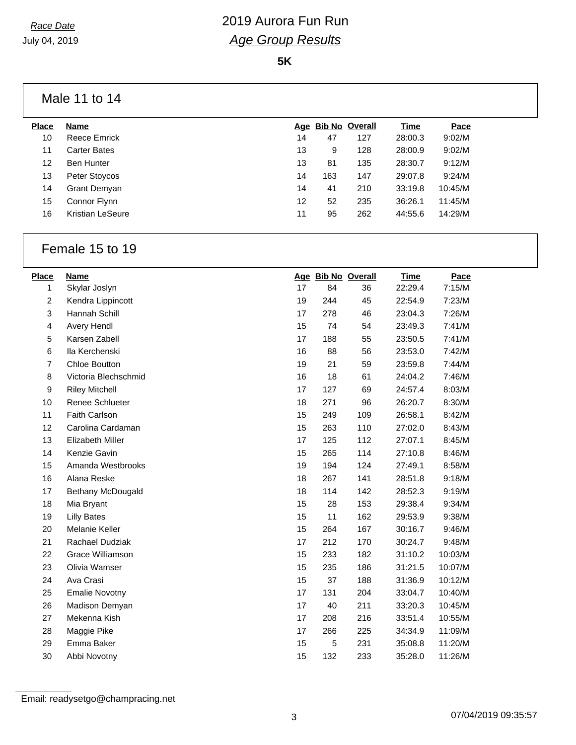**5K**

## Male 11 to 14

| <b>Place</b> | <b>Name</b>         | Aqe |     | <b>Bib No Overall</b> | Time    | Pace    |  |
|--------------|---------------------|-----|-----|-----------------------|---------|---------|--|
| 10           | Reece Emrick        | 14  | 47  | 127                   | 28:00.3 | 9:02/M  |  |
| 11           | Carter Bates        | 13  | 9   | 128                   | 28:00.9 | 9:02/M  |  |
| 12           | <b>Ben Hunter</b>   | 13  | 81  | 135                   | 28:30.7 | 9:12/M  |  |
| 13           | Peter Stoycos       | 14  | 163 | 147                   | 29:07.8 | 9:24/M  |  |
| 14           | <b>Grant Demyan</b> | 14  | 41  | 210                   | 33:19.8 | 10:45/M |  |
| 15           | Connor Flynn        | 12  | 52  | 235                   | 36:26.1 | 11:45/M |  |
| 16           | Kristian LeSeure    | 11  | 95  | 262                   | 44:55.6 | 14:29/M |  |
|              |                     |     |     |                       |         |         |  |

## Female 15 to 19

| Place            | <b>Name</b>             |    | Age Bib No Overall |     | <b>Time</b> | Pace    |
|------------------|-------------------------|----|--------------------|-----|-------------|---------|
| 1                | Skylar Joslyn           | 17 | 84                 | 36  | 22:29.4     | 7:15/M  |
| $\boldsymbol{2}$ | Kendra Lippincott       | 19 | 244                | 45  | 22:54.9     | 7:23/M  |
| 3                | Hannah Schill           | 17 | 278                | 46  | 23:04.3     | 7:26/M  |
| 4                | Avery Hendl             | 15 | 74                 | 54  | 23:49.3     | 7:41/M  |
| 5                | Karsen Zabell           | 17 | 188                | 55  | 23:50.5     | 7:41/M  |
| $\,6\,$          | Ila Kerchenski          | 16 | 88                 | 56  | 23:53.0     | 7:42/M  |
| $\overline{7}$   | <b>Chloe Boutton</b>    | 19 | 21                 | 59  | 23:59.8     | 7:44/M  |
| $\bf8$           | Victoria Blechschmid    | 16 | 18                 | 61  | 24:04.2     | 7:46/M  |
| $\boldsymbol{9}$ | <b>Riley Mitchell</b>   | 17 | 127                | 69  | 24:57.4     | 8:03/M  |
| 10               | Renee Schlueter         | 18 | 271                | 96  | 26:20.7     | 8:30/M  |
| 11               | Faith Carlson           | 15 | 249                | 109 | 26:58.1     | 8:42/M  |
| 12               | Carolina Cardaman       | 15 | 263                | 110 | 27:02.0     | 8:43/M  |
| 13               | <b>Elizabeth Miller</b> | 17 | 125                | 112 | 27:07.1     | 8:45/M  |
| 14               | Kenzie Gavin            | 15 | 265                | 114 | 27:10.8     | 8:46/M  |
| 15               | Amanda Westbrooks       | 19 | 194                | 124 | 27:49.1     | 8:58/M  |
| 16               | Alana Reske             | 18 | 267                | 141 | 28:51.8     | 9:18/M  |
| 17               | Bethany McDougald       | 18 | 114                | 142 | 28:52.3     | 9:19/M  |
| 18               | Mia Bryant              | 15 | 28                 | 153 | 29:38.4     | 9:34/M  |
| 19               | <b>Lilly Bates</b>      | 15 | 11                 | 162 | 29:53.9     | 9:38/M  |
| 20               | Melanie Keller          | 15 | 264                | 167 | 30:16.7     | 9:46/M  |
| 21               | Rachael Dudziak         | 17 | 212                | 170 | 30:24.7     | 9:48/M  |
| 22               | Grace Williamson        | 15 | 233                | 182 | 31:10.2     | 10:03/M |
| 23               | Olivia Wamser           | 15 | 235                | 186 | 31:21.5     | 10:07/M |
| 24               | Ava Crasi               | 15 | 37                 | 188 | 31:36.9     | 10:12/M |
| 25               | <b>Emalie Novotny</b>   | 17 | 131                | 204 | 33:04.7     | 10:40/M |
| 26               | Madison Demyan          | 17 | 40                 | 211 | 33:20.3     | 10:45/M |
| 27               | Mekenna Kish            | 17 | 208                | 216 | 33:51.4     | 10:55/M |
| 28               | Maggie Pike             | 17 | 266                | 225 | 34:34.9     | 11:09/M |
| 29               | Emma Baker              | 15 | 5                  | 231 | 35:08.8     | 11:20/M |
| 30               | Abbi Novotny            | 15 | 132                | 233 | 35:28.0     | 11:26/M |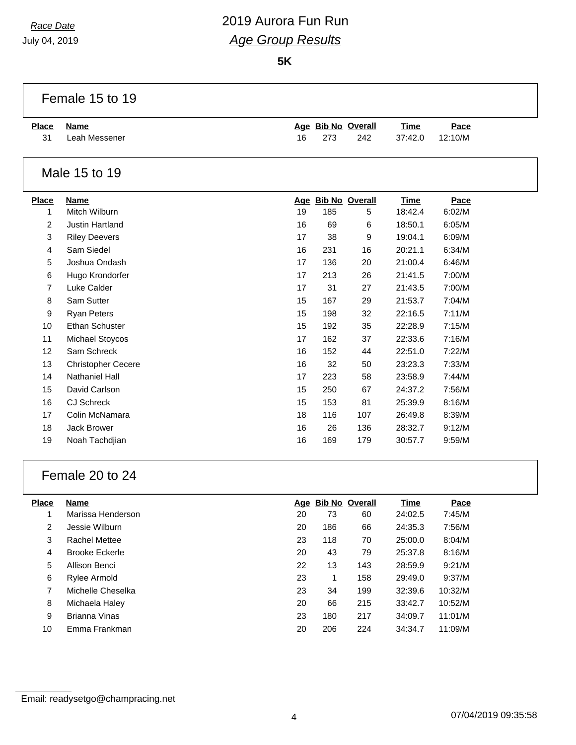July 04, 2019

Г

# *Race Date* 2019 Aurora Fun Run *Age Group Results*

**5K**

|                | Female 15 to 19           |    |     |                    |             |         |  |
|----------------|---------------------------|----|-----|--------------------|-------------|---------|--|
| <b>Place</b>   | <b>Name</b>               |    |     | Age Bib No Overall | <b>Time</b> | Pace    |  |
| 31             | Leah Messener             | 16 | 273 | 242                | 37:42.0     | 12:10/M |  |
|                | Male 15 to 19             |    |     |                    |             |         |  |
| <b>Place</b>   | <b>Name</b>               |    |     | Age Bib No Overall | <b>Time</b> | Pace    |  |
| 1              | Mitch Wilburn             | 19 | 185 | 5                  | 18:42.4     | 6:02/M  |  |
| $\overline{c}$ | <b>Justin Hartland</b>    | 16 | 69  | 6                  | 18:50.1     | 6:05/M  |  |
| 3              | <b>Riley Deevers</b>      | 17 | 38  | 9                  | 19:04.1     | 6:09/M  |  |
| 4              | Sam Siedel                | 16 | 231 | 16                 | 20:21.1     | 6:34/M  |  |
| 5              | Joshua Ondash             | 17 | 136 | 20                 | 21:00.4     | 6:46/M  |  |
| 6              | Hugo Krondorfer           | 17 | 213 | 26                 | 21:41.5     | 7:00/M  |  |
| 7              | Luke Calder               | 17 | 31  | 27                 | 21:43.5     | 7:00/M  |  |
| 8              | Sam Sutter                | 15 | 167 | 29                 | 21:53.7     | 7:04/M  |  |
| 9              | <b>Ryan Peters</b>        | 15 | 198 | 32                 | 22:16.5     | 7:11/M  |  |
| 10             | <b>Ethan Schuster</b>     | 15 | 192 | 35                 | 22:28.9     | 7:15/M  |  |
| 11             | Michael Stoycos           | 17 | 162 | 37                 | 22:33.6     | 7:16/M  |  |
| 12             | Sam Schreck               | 16 | 152 | 44                 | 22:51.0     | 7:22/M  |  |
| 13             | <b>Christopher Cecere</b> | 16 | 32  | 50                 | 23:23.3     | 7:33/M  |  |
| 14             | <b>Nathaniel Hall</b>     | 17 | 223 | 58                 | 23:58.9     | 7:44/M  |  |
| 15             | David Carlson             | 15 | 250 | 67                 | 24:37.2     | 7:56/M  |  |
| 16             | <b>CJ Schreck</b>         | 15 | 153 | 81                 | 25:39.9     | 8:16/M  |  |
| 17             | Colin McNamara            | 18 | 116 | 107                | 26:49.8     | 8:39/M  |  |
| 18             | Jack Brower               | 16 | 26  | 136                | 28:32.7     | 9:12/M  |  |
| 19             | Noah Tachdjian            | 16 | 169 | 179                | 30:57.7     | 9:59/M  |  |
|                |                           |    |     |                    |             |         |  |

## Female 20 to 24

| Place | Name                  |    |     | Age Bib No Overall | Time    | Pace    |
|-------|-----------------------|----|-----|--------------------|---------|---------|
| 1     | Marissa Henderson     | 20 | 73  | 60                 | 24:02.5 | 7:45/M  |
| 2     | Jessie Wilburn        | 20 | 186 | 66                 | 24:35.3 | 7:56/M  |
| 3     | <b>Rachel Mettee</b>  | 23 | 118 | 70                 | 25:00.0 | 8:04/M  |
| 4     | <b>Brooke Eckerle</b> | 20 | 43  | 79                 | 25:37.8 | 8:16/M  |
| 5     | Allison Benci         | 22 | 13  | 143                | 28:59.9 | 9:21/M  |
| 6     | Rylee Armold          | 23 |     | 158                | 29:49.0 | 9:37/M  |
| 7     | Michelle Cheselka     | 23 | 34  | 199                | 32:39.6 | 10:32/M |
| 8     | Michaela Haley        | 20 | 66  | 215                | 33:42.7 | 10:52/M |
| 9     | Brianna Vinas         | 23 | 180 | 217                | 34:09.7 | 11:01/M |
| 10    | Emma Frankman         | 20 | 206 | 224                | 34:34.7 | 11:09/M |
|       |                       |    |     |                    |         |         |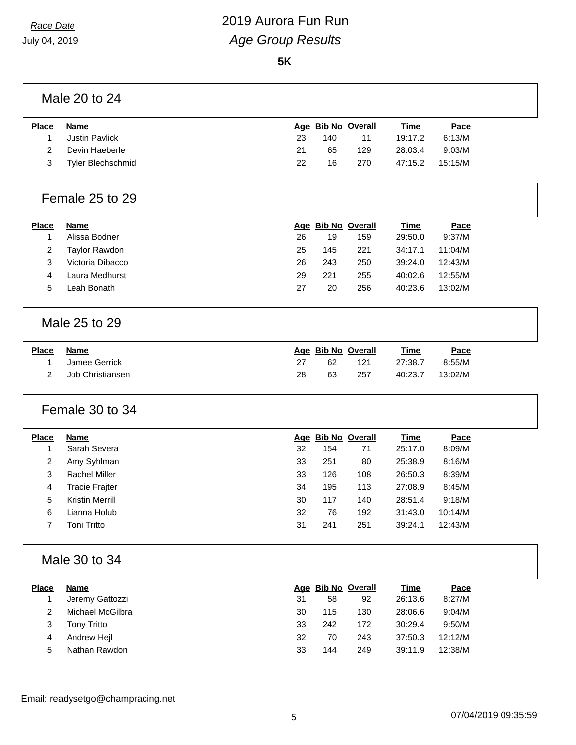**5K**

### Male 20 to 24

| <b>Place</b> | Name              |    | Age Bib No Overall |     | <u>Time</u> | Pace    |  |
|--------------|-------------------|----|--------------------|-----|-------------|---------|--|
|              | Justin Pavlick    | 23 | 140                |     | 19:17.2     | 6:13/M  |  |
|              | Devin Haeberle    | 21 | 65                 | 129 | 28:03.4     | 9:03/M  |  |
| 3            | Tyler Blechschmid | 22 | 16                 | 270 | 47:15.2     | 15:15/M |  |
|              |                   |    |                    |     |             |         |  |

#### Female 25 to 29

| <b>Place</b> | <b>Name</b>      |    |     | Age Bib No Overall | Time    | Pace    |
|--------------|------------------|----|-----|--------------------|---------|---------|
|              | Alissa Bodner    | 26 | 19  | 159                | 29:50.0 | 9:37/M  |
|              | Taylor Rawdon    | 25 | 145 | 221                | 34:17.1 | 11:04/M |
| 3            | Victoria Dibacco | 26 | 243 | 250                | 39:24.0 | 12:43/M |
| 4            | Laura Medhurst   | 29 | 221 | 255                | 40:02.6 | 12:55/M |
| 5            | ∟eah Bonath      | 27 | 20  | 256                | 40:23.6 | 13:02/M |

### Male 25 to 29

| <b>Place</b> | Name             |    | Age Bib No Overall |     | <u>Time</u> | <u>Pace</u> |
|--------------|------------------|----|--------------------|-----|-------------|-------------|
|              | Jamee Gerrick    |    | 62                 | 121 | 27:38.7     | 8:55/M      |
|              | Job Christiansen | 28 | 63                 | 257 | 40:23.7     | 13:02/M     |

## Female 30 to 34

| <b>Place</b> | <b>Name</b>          |    | Age Bib No Overall |     | Time    | Pace    |
|--------------|----------------------|----|--------------------|-----|---------|---------|
|              | Sarah Severa         | 32 | 154                | 71  | 25:17.0 | 8:09/M  |
| 2            | Amy Syhlman          | 33 | 251                | 80  | 25:38.9 | 8:16/M  |
| 3            | <b>Rachel Miller</b> | 33 | 126                | 108 | 26:50.3 | 8:39/M  |
| 4            | Tracie Frajter       | 34 | 195                | 113 | 27:08.9 | 8:45/M  |
| 5            | Kristin Merrill      | 30 | 117                | 140 | 28:51.4 | 9:18/M  |
| 6            | Lianna Holub         | 32 | 76                 | 192 | 31:43.0 | 10:14/M |
|              | Toni Tritto          | 31 | 241                | 251 | 39:24.1 | 12:43/M |
|              |                      |    |                    |     |         |         |

### Male 30 to 34

| <b>Place</b> | Name             |    |     | Age Bib No Overall | Time    | Pace    |
|--------------|------------------|----|-----|--------------------|---------|---------|
|              | Jeremy Gattozzi  | 31 | 58  | 92                 | 26:13.6 | 8:27/M  |
| 2            | Michael McGilbra | 30 | 115 | 130                | 28:06.6 | 9:04/M  |
| 3            | Tony Tritto      | 33 | 242 | 172                | 30:29.4 | 9:50/M  |
| 4            | Andrew Heil      | 32 | 70  | 243                | 37:50.3 | 12:12/M |
| 5            | Nathan Rawdon    | 33 | 144 | 249                | 39:11.9 | 12:38/M |

Email: readysetgo@champracing.net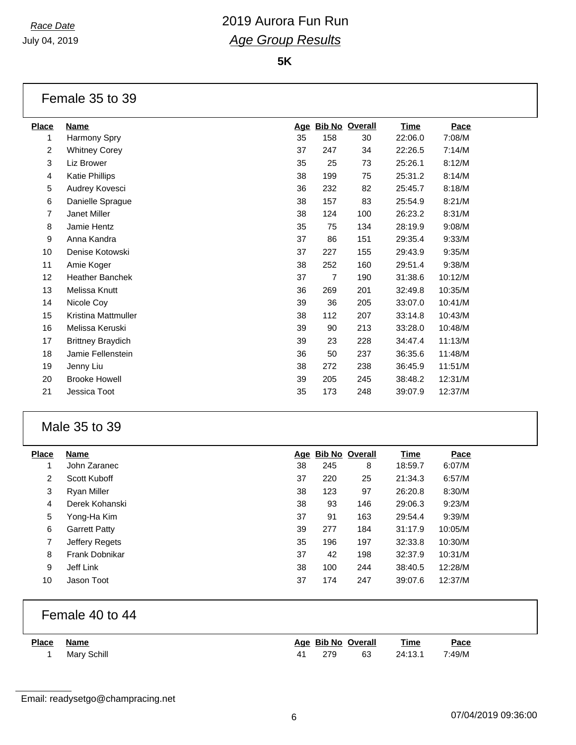**5K**

#### Female 35 to 39

| <u>Place</u>   | <b>Name</b>              | Age |     | <b>Bib No Overall</b> | <u>Time</u> | Pace    |
|----------------|--------------------------|-----|-----|-----------------------|-------------|---------|
| 1              | Harmony Spry             | 35  | 158 | 30                    | 22:06.0     | 7:08/M  |
| $\overline{2}$ | <b>Whitney Corey</b>     | 37  | 247 | 34                    | 22:26.5     | 7:14/M  |
| 3              | Liz Brower               | 35  | 25  | 73                    | 25:26.1     | 8:12/M  |
| 4              | Katie Phillips           | 38  | 199 | 75                    | 25:31.2     | 8:14/M  |
| 5              | Audrey Kovesci           | 36  | 232 | 82                    | 25:45.7     | 8:18/M  |
| 6              | Danielle Sprague         | 38  | 157 | 83                    | 25:54.9     | 8:21/M  |
| 7              | Janet Miller             | 38  | 124 | 100                   | 26:23.2     | 8:31/M  |
| 8              | Jamie Hentz              | 35  | 75  | 134                   | 28:19.9     | 9:08/M  |
| 9              | Anna Kandra              | 37  | 86  | 151                   | 29:35.4     | 9:33/M  |
| 10             | Denise Kotowski          | 37  | 227 | 155                   | 29:43.9     | 9:35/M  |
| 11             | Amie Koger               | 38  | 252 | 160                   | 29:51.4     | 9:38/M  |
| 12             | Heather Banchek          | 37  | 7   | 190                   | 31:38.6     | 10:12/M |
| 13             | Melissa Knutt            | 36  | 269 | 201                   | 32:49.8     | 10:35/M |
| 14             | Nicole Coy               | 39  | 36  | 205                   | 33:07.0     | 10:41/M |
| 15             | Kristina Mattmuller      | 38  | 112 | 207                   | 33:14.8     | 10:43/M |
| 16             | Melissa Keruski          | 39  | 90  | 213                   | 33:28.0     | 10:48/M |
| 17             | <b>Brittney Braydich</b> | 39  | 23  | 228                   | 34:47.4     | 11:13/M |
| 18             | Jamie Fellenstein        | 36  | 50  | 237                   | 36:35.6     | 11:48/M |
| 19             | Jenny Liu                | 38  | 272 | 238                   | 36:45.9     | 11:51/M |
| 20             | <b>Brooke Howell</b>     | 39  | 205 | 245                   | 38:48.2     | 12:31/M |
| 21             | Jessica Toot             | 35  | 173 | 248                   | 39:07.9     | 12:37/M |
|                |                          |     |     |                       |             |         |

#### Male 35 to 39

| <b>Place</b> | Name                 | Age | <b>Bib No Overall</b> |     | Time    | Pace    |
|--------------|----------------------|-----|-----------------------|-----|---------|---------|
| 1            | John Zaranec         | 38  | 245                   | 8   | 18:59.7 | 6:07/M  |
| 2            | Scott Kuboff         | 37  | 220                   | 25  | 21:34.3 | 6:57/M  |
| 3            | Ryan Miller          | 38  | 123                   | 97  | 26:20.8 | 8:30/M  |
| 4            | Derek Kohanski       | 38  | 93                    | 146 | 29:06.3 | 9:23/M  |
| 5            | Yong-Ha Kim          | 37  | 91                    | 163 | 29:54.4 | 9:39/M  |
| 6            | <b>Garrett Patty</b> | 39  | 277                   | 184 | 31:17.9 | 10:05/M |
| 7            | Jeffery Regets       | 35  | 196                   | 197 | 32:33.8 | 10:30/M |
| 8            | Frank Dobnikar       | 37  | 42                    | 198 | 32:37.9 | 10:31/M |
| 9            | Jeff Link            | 38  | 100                   | 244 | 38:40.5 | 12:28/M |
| 10           | Jason Toot           | 37  | 174                   | 247 | 39:07.6 | 12:37/M |

### Female 40 to 44

| <b>Place</b> | Name        |    | Age Bib No Overall |    | <b>Time</b> | <u>Pace</u> |
|--------------|-------------|----|--------------------|----|-------------|-------------|
|              | Mary Schill | 41 | 279                | 63 | 24:13.1     | 7:49/M      |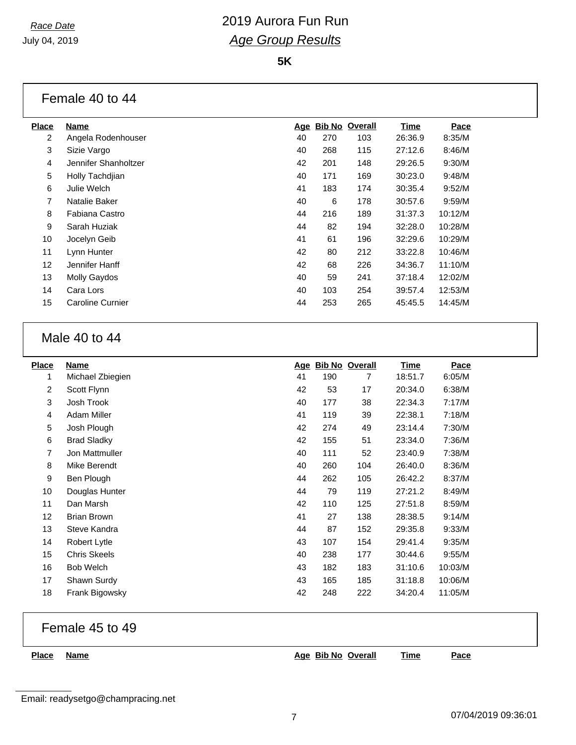**5K**

## Female 40 to 44

| <b>Place</b> | <b>Name</b>          | <u>Age</u> |     | <b>Bib No Overall</b> | <b>Time</b> | Pace    |
|--------------|----------------------|------------|-----|-----------------------|-------------|---------|
| 2            | Angela Rodenhouser   | 40         | 270 | 103                   | 26:36.9     | 8:35/M  |
| 3            | Sizie Vargo          | 40         | 268 | 115                   | 27:12.6     | 8:46/M  |
| 4            | Jennifer Shanholtzer | 42         | 201 | 148                   | 29:26.5     | 9:30/M  |
| 5            | Holly Tachdiian      | 40         | 171 | 169                   | 30:23.0     | 9:48/M  |
| 6            | Julie Welch          | 41         | 183 | 174                   | 30:35.4     | 9:52/M  |
| 7            | Natalie Baker        | 40         | 6   | 178                   | 30:57.6     | 9:59/M  |
| 8            | Fabiana Castro       | 44         | 216 | 189                   | 31:37.3     | 10:12/M |
| 9            | Sarah Huziak         | 44         | 82  | 194                   | 32:28.0     | 10:28/M |
| 10           | Jocelyn Geib         | 41         | 61  | 196                   | 32:29.6     | 10:29/M |
| 11           | Lynn Hunter          | 42         | 80  | 212                   | 33:22.8     | 10:46/M |
| 12           | Jennifer Hanff       | 42         | 68  | 226                   | 34:36.7     | 11:10/M |
| 13           | <b>Molly Gaydos</b>  | 40         | 59  | 241                   | 37:18.4     | 12:02/M |
| 14           | Cara Lors            | 40         | 103 | 254                   | 39:57.4     | 12:53/M |
| 15           | Caroline Curnier     | 44         | 253 | 265                   | 45:45.5     | 14:45/M |
|              |                      |            |     |                       |             |         |

#### Male 40 to 44

| <b>Place</b>   | <b>Name</b>         | <u>Age</u> | <b>Bib No Overall</b> |     | <u>Time</u> | Pace    |
|----------------|---------------------|------------|-----------------------|-----|-------------|---------|
| 1              | Michael Zbiegien    | 41         | 190                   | 7   | 18:51.7     | 6:05/M  |
| $\overline{2}$ | Scott Flynn         | 42         | 53                    | 17  | 20:34.0     | 6:38/M  |
| 3              | Josh Trook          | 40         | 177                   | 38  | 22:34.3     | 7:17/M  |
| 4              | Adam Miller         | 41         | 119                   | 39  | 22:38.1     | 7:18/M  |
| 5              | Josh Plough         | 42         | 274                   | 49  | 23:14.4     | 7:30/M  |
| 6              | <b>Brad Sladky</b>  | 42         | 155                   | 51  | 23:34.0     | 7:36/M  |
| 7              | Jon Mattmuller      | 40         | 111                   | 52  | 23:40.9     | 7:38/M  |
| 8              | Mike Berendt        | 40         | 260                   | 104 | 26:40.0     | 8:36/M  |
| 9              | Ben Plough          | 44         | 262                   | 105 | 26:42.2     | 8:37/M  |
| 10             | Douglas Hunter      | 44         | 79                    | 119 | 27:21.2     | 8:49/M  |
| 11             | Dan Marsh           | 42         | 110                   | 125 | 27:51.8     | 8:59/M  |
| 12             | <b>Brian Brown</b>  | 41         | 27                    | 138 | 28:38.5     | 9:14/M  |
| 13             | Steve Kandra        | 44         | 87                    | 152 | 29:35.8     | 9:33/M  |
| 14             | Robert Lytle        | 43         | 107                   | 154 | 29:41.4     | 9:35/M  |
| 15             | <b>Chris Skeels</b> | 40         | 238                   | 177 | 30:44.6     | 9:55/M  |
| 16             | <b>Bob Welch</b>    | 43         | 182                   | 183 | 31:10.6     | 10:03/M |
| 17             | Shawn Surdy         | 43         | 165                   | 185 | 31:18.8     | 10:06/M |
| 18             | Frank Bigowsky      | 42         | 248                   | 222 | 34:20.4     | 11:05/M |

## Female 45 to 49

**Place Name Age Bib No Overall Time Pace**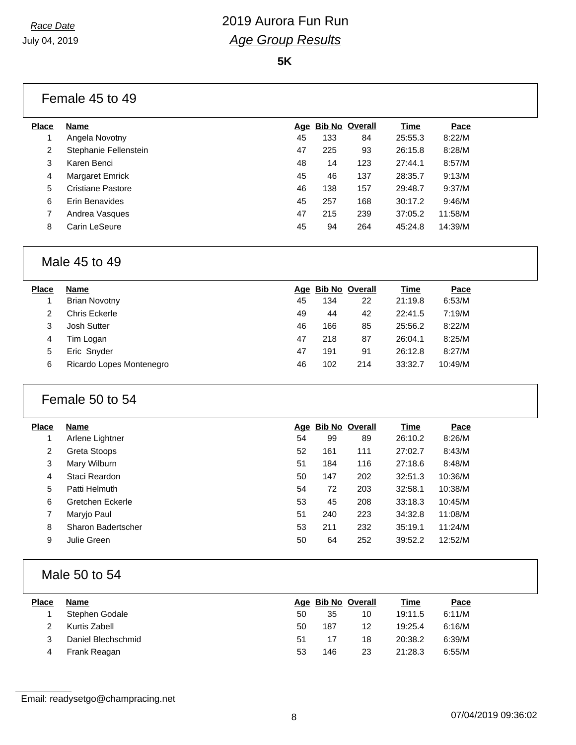**5K**

#### Female 45 to 49

| Place | Name                  |    | Age Bib No Overall |     | Time    | Pace    |  |
|-------|-----------------------|----|--------------------|-----|---------|---------|--|
|       | Angela Novotny        | 45 | 133                | 84  | 25:55.3 | 8:22/M  |  |
| 2     | Stephanie Fellenstein | 47 | 225                | 93  | 26:15.8 | 8:28/M  |  |
| 3     | Karen Benci           | 48 | 14                 | 123 | 27:44.1 | 8:57/M  |  |
| 4     | Margaret Emrick       | 45 | 46                 | 137 | 28:35.7 | 9:13/M  |  |
| 5     | Cristiane Pastore     | 46 | 138                | 157 | 29:48.7 | 9:37/M  |  |
| 6     | Erin Benavides        | 45 | 257                | 168 | 30:17.2 | 9:46/M  |  |
| 7     | Andrea Vasques        | 47 | 215                | 239 | 37:05.2 | 11:58/M |  |
| 8     | Carin LeSeure         | 45 | 94                 | 264 | 45:24.8 | 14:39/M |  |
|       |                       |    |                    |     |         |         |  |

## Male 45 to 49

| Place | <b>Name</b>              |    | Age Bib No Overall |     | Time    | Pace    |
|-------|--------------------------|----|--------------------|-----|---------|---------|
|       | <b>Brian Novotny</b>     | 45 | 134                | 22  | 21:19.8 | 6:53/M  |
|       | Chris Eckerle            | 49 | 44                 | 42  | 22:41.5 | 7:19/M  |
| 3     | Josh Sutter              | 46 | 166                | 85  | 25:56.2 | 8:22/M  |
| 4     | Tim Logan                | 47 | 218                | 87  | 26:04.1 | 8:25/M  |
| 5     | Eric Snyder              | 47 | 191                | 91  | 26:12.8 | 8:27/M  |
| 6     | Ricardo Lopes Montenegro | 46 | 102                | 214 | 33:32.7 | 10:49/M |
|       |                          |    |                    |     |         |         |

#### Female 50 to 54

| Place | <b>Name</b>        |    | Age Bib No Overall |     | Time    | Pace    |  |
|-------|--------------------|----|--------------------|-----|---------|---------|--|
| 1     | Arlene Lightner    | 54 | 99                 | 89  | 26:10.2 | 8:26/M  |  |
| 2     | Greta Stoops       | 52 | 161                | 111 | 27:02.7 | 8:43/M  |  |
| 3     | Mary Wilburn       | 51 | 184                | 116 | 27:18.6 | 8:48/M  |  |
| 4     | Staci Reardon      | 50 | 147                | 202 | 32:51.3 | 10:36/M |  |
| 5     | Patti Helmuth      | 54 | 72                 | 203 | 32:58.1 | 10:38/M |  |
| 6     | Gretchen Eckerle   | 53 | 45                 | 208 | 33:18.3 | 10:45/M |  |
| 7     | Maryjo Paul        | 51 | 240                | 223 | 34:32.8 | 11:08/M |  |
| 8     | Sharon Badertscher | 53 | 211                | 232 | 35:19.1 | 11:24/M |  |
| 9     | Julie Green        | 50 | 64                 | 252 | 39:52.2 | 12:52/M |  |
|       |                    |    |                    |     |         |         |  |

## Male 50 to 54

| <b>Place</b> | Name               |    |     | Age Bib No Overall | Time    | Pace   |
|--------------|--------------------|----|-----|--------------------|---------|--------|
|              | Stephen Godale     | 50 | 35  | 10                 | 19:11.5 | 6:11/M |
|              | Kurtis Zabell      | 50 | 187 | 12                 | 19:25.4 | 6:16/M |
|              | Daniel Blechschmid | 51 | 17  | 18                 | 20:38.2 | 6:39/M |
| 4            | Frank Reagan       | 53 | 146 | 23                 | 21:28.3 | 6:55/M |

Email: readysetgo@champracing.net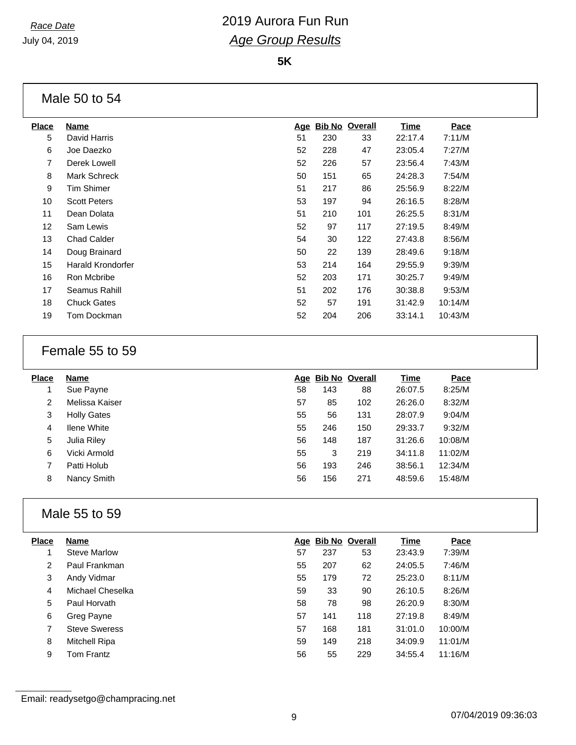**5K**

## Male 50 to 54

| <b>Place</b> | Name                     | <u>Age</u> | <b>Bib No Overall</b> |     | <b>Time</b> | Pace    |
|--------------|--------------------------|------------|-----------------------|-----|-------------|---------|
| 5            | David Harris             | 51         | 230                   | 33  | 22:17.4     | 7:11/M  |
| 6            | Joe Daezko               | 52         | 228                   | 47  | 23:05.4     | 7:27/M  |
| 7            | Derek Lowell             | 52         | 226                   | 57  | 23:56.4     | 7:43/M  |
| 8            | <b>Mark Schreck</b>      | 50         | 151                   | 65  | 24:28.3     | 7:54/M  |
| 9            | <b>Tim Shimer</b>        | 51         | 217                   | 86  | 25:56.9     | 8:22/M  |
| 10           | <b>Scott Peters</b>      | 53         | 197                   | 94  | 26:16.5     | 8:28/M  |
| 11           | Dean Dolata              | 51         | 210                   | 101 | 26:25.5     | 8:31/M  |
| 12           | Sam Lewis                | 52         | 97                    | 117 | 27:19.5     | 8:49/M  |
| 13           | <b>Chad Calder</b>       | 54         | 30                    | 122 | 27:43.8     | 8:56/M  |
| 14           | Doug Brainard            | 50         | 22                    | 139 | 28:49.6     | 9:18/M  |
| 15           | <b>Harald Krondorfer</b> | 53         | 214                   | 164 | 29:55.9     | 9:39/M  |
| 16           | Ron Mcbribe              | 52         | 203                   | 171 | 30:25.7     | 9:49/M  |
| 17           | Seamus Rahill            | 51         | 202                   | 176 | 30:38.8     | 9:53/M  |
| 18           | <b>Chuck Gates</b>       | 52         | 57                    | 191 | 31:42.9     | 10:14/M |
| 19           | Tom Dockman              | 52         | 204                   | 206 | 33:14.1     | 10:43/M |
|              |                          |            |                       |     |             |         |

### Female 55 to 59

| <b>Place</b> | Name               |    | Age Bib No Overall |     | Time    | Pace    |
|--------------|--------------------|----|--------------------|-----|---------|---------|
|              | Sue Payne          | 58 | 143                | 88  | 26:07.5 | 8:25/M  |
| 2            | Melissa Kaiser     | 57 | 85                 | 102 | 26:26.0 | 8:32/M  |
| 3            | <b>Holly Gates</b> | 55 | 56                 | 131 | 28:07.9 | 9:04/M  |
| 4            | <b>Ilene White</b> | 55 | 246                | 150 | 29:33.7 | 9:32/M  |
| 5            | Julia Riley        | 56 | 148                | 187 | 31:26.6 | 10:08/M |
| 6            | Vicki Armold       | 55 | 3                  | 219 | 34:11.8 | 11:02/M |
|              | Patti Holub        | 56 | 193                | 246 | 38:56.1 | 12:34/M |
| 8            | Nancy Smith        | 56 | 156                | 271 | 48:59.6 | 15:48/M |

## Male 55 to 59

| 7:39/M  |
|---------|
| 7:46/M  |
| 8:11/M  |
| 8:26/M  |
| 8:30/M  |
| 8:49/M  |
| 10:00/M |
| 11:01/M |
| 11:16/M |
|         |